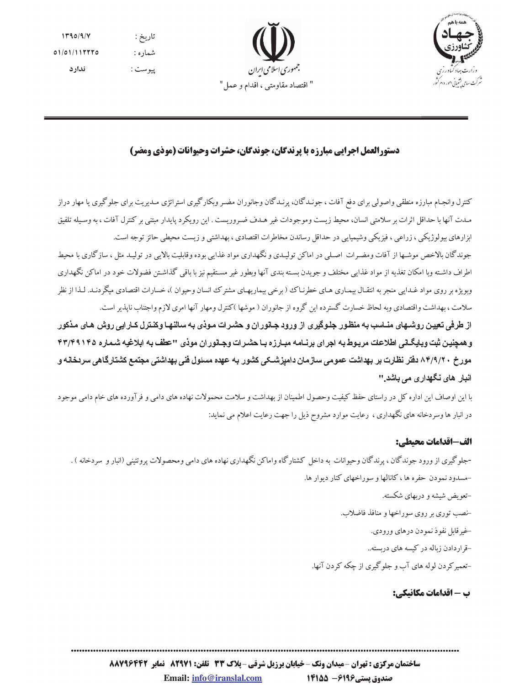



# دستورالعمل اجرایی مبارزه با پرندگان، جوندگان، حشرات وحیوانات (موذی ومضر)

کنترل وانجـام مبارزه منطقي واصولي براي دفع آفات ، جونـدگان، پرنـدگان وجانوران مضـر وبکارگيري استراتژي مـديريت براي جلوگيري يا مهار دراز مبدت آنها با حداقل اثرات بر سلامتی انسان، محیط زیست وموجودات غیر هبدف ضیروریست . این رویکرد پایدار مبتنی بر کنترل آفات ، به وسیله تلفیق ابزارهای بیولوژیکی ، زراعی ، فیزیکی وشیمیایی در حداقل رساندن مخاطرات اقتصادی ، بهداشتی و زیست محیطی حائز توجه است.

جوندگان بالاخص موشـها از آفات ومضـرات اصـلي در اماكن توليـدي و نگهداري مواد غذايي بوده وقابليت بالايي در توليـد مثل ، سازگاري با محيط اطراف داشته وبا امکان تغذیه از مواد غذایی مختلف و جویدن بسته بندی آنها وبطور غیر مستقیم نیز با باقی گذاشتن فضولات خود در اماکن نگهداری وبویژه بر روی مواد غـدایی منجر به انتقـال بیمـاری هـای خطرنـاک ( برخی بیماریهـای مشترک انسان وحیوان )، خسارات اقتصادی میگردنـد. لـذا از نظر سلامت ، بهداشت واقتصادي وبه لحاظ خسارت گسترده اين گروه از جانوران ( موشها )كنترل ومهار آنها امري لازم واجتناب ناپذير است.

از طرفی تعیین روشـهای منــاسب به منظـور جلـوگیری از ورود جــانوران و حشـرات مـوذی بـه سالنهـا وکنـترل کــارایی روش هـای مـذکور و همچنین ثبت وبایگانی اطلاعات مربوط به اجرای برنسامه مبیارزه بیا حشرات وجسانوران موذی "عطف به ابلاغیه شماره ۴۳/۴۹۱۴۵ مورخ ۸۴/۹/۲۰ دفتر نظارت بر بهداشت عمومی سازمان دامپزشــکی کشور بـه عهده مسئول فنی بهداشتی مجتمع کشتارگاهی سردخانه و انبار های نگهداری می باشد.''

با این اوصاف این اداره کل در راستای حفظ کیفیت وحصول اطمینان از بهداشت و سلامت محمولات نهاده های دامی و فرآورده های خام دامی موجود در انبار ها وسردخانه های نگهداری ، رعایت موارد مشروح ذیل را جهت رعایت اعلام می نماید:

## الف-اقدامات محتطى:

-جلوگیری از ورود جوندگان ، پرندگان وحیوانات به داخل کشتارگاه واماکن نگهداری نهاده های دامی ومحصولات پروتئینی (انبار و سردخانه ) . -مسدود نمودن حفره ها ، کانالها و سوراخهای کنار دیوار ها. –تعویض شیشه و دربهای شکسته. -نصب توري بر روي سوراخها و منافذ فاضلاب. خيرقابل نفوذ نمودن درهاي ورودي. -قراردادن زیاله در کیسه های دریسته.. -تعمیر کردن لوله های آب و جلوگیری از چکه کردن آنها.

## ب - اقدامات مكانىكى: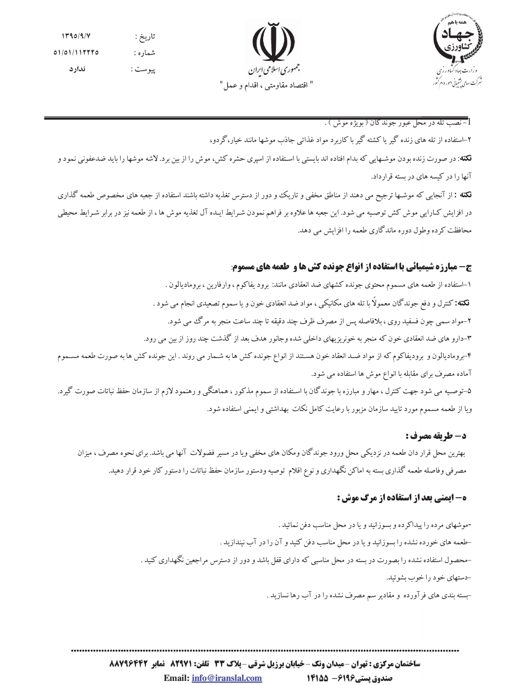



#### l-نصب تله در محل عبور جوندگان ( بويژه موش ) .

۲–استفاده از تله های زنده گیر یا کشته گیر با کاربرد مواد غذائی جاذب موشها مانند خیار،گر دو، .<br>فکته: در صورت زنده بودن موشـهایی که بدام افتاده اند بایستی با اسـتفاده از اسیری حشره کش، موش را از بین برد. لاشه موشها را باید ضدعفونی نمود و آنها را در کیسه های در بسته قرارداد.

نکته : از آنجایی که موشـها ترجیح می دهند از مناطق مخفی و تاریک و دور از دسترس تغذیه داشته باشند استفاده از جعبه های مخصوص طعمه گذاری در افزایش کـارایی موش کش توصـیه می شود. این جعبه ها علاوه بر فراهم نمودن شـرایط ایـده آل تغذیه موش ها ، از طعمه نیز در برابر شـرایط محیطی محافظت کر ده وطول دوره ماندگاری طعمه را افزایش می دهد.

## ج- مبارزه شیمیائی با استفاده از انواع جونده کش ها و گعمه های مسموم:

۱–استفاده از طعمه های مسموم محتوی جونده کشهای ضد انعقادی مانند: برود یفاکوم ، وارفارین ، برومادیالون . **نکته:** کنترل و دفع جوندگان معمولاً با تله های مکانیکی ، مواد ضد انعقادی خون و یا سموم تصعیدی انجام می شود . ۲-مواد سمي چون فسفيد روي ، بلافاصله پس از مصرف ظرف چند دقيقه تا چند ساعت منجر به مرگ مي شود. ۳–دارو های ضد انعقادی خون که منجر به خونریزیهای داخلی شده وجانور هدف بعد از گذشت چند روز از بین می رود. ۴-برومادیالون و برودیفاکوم که از مواد ضـد انعقاد خون هسـتند از انواع جونده کش ها به شـمار می روند . این جونده کش ها به صورت طعمه مســموم آماده مصرف برای مقابله با انواع موش ها استفاده می شود. ۵-توصـیه می شود جهت کنترل ، مهار و مبارزه با جوندگان با اسـتفاده از سموم مذکور ، هماهنگی و رهنمود لازم از سازمان حفظ نباتات صورت گیرد. ویا از طعمه مسموم مورد تایید سازمان مزبور با رعایت کامل نکات بهداشتی و ایمنی استفاده شود.

## **د- طريقه مصرف :**

بهترین محل قرار دان طعمه در نزدیکی محل ورود جوندگان ومکان های مخفی ویا در مسیر فضولات آنها می باشد. برای نحوه مصرف ، میزان مصرفی وفاصله طعمه گذاری بسته به اماکن نگهداری و نوع اقلام توصیه ودستور سازمان حفظ نباتات را دستور کار خود قرار دهید.

## **ه- ایمنی بعد از استفاده از مرگ موش :**

-موشهای مرده را پیداکرده و بسوزانید و یا در محل مناسب دفن نمائید . حلعمه های خورده نشده را بسوزانید و یا در محل مناسب دفن کنید و آن را در آب نیندازید . -محصول استفاده نشده را بصورت در بسته در محل مناسبی که دارای قفل باشد و دور از دسترس مراجعین نگهداری کنید . -دستهای خو د را خوب بشو ئید. -بسته بندی های فرآورده و مقادیر سم مصرف نشده را در آب رها نسازید .

ساختمان مرکزی : تهران -میدان ونک - خیابان برزیل شرقی - پلاک 33 تلفن: 829211 نمایر 88266388 Email: info@iranslal.com صندوق پستی1496 - 14155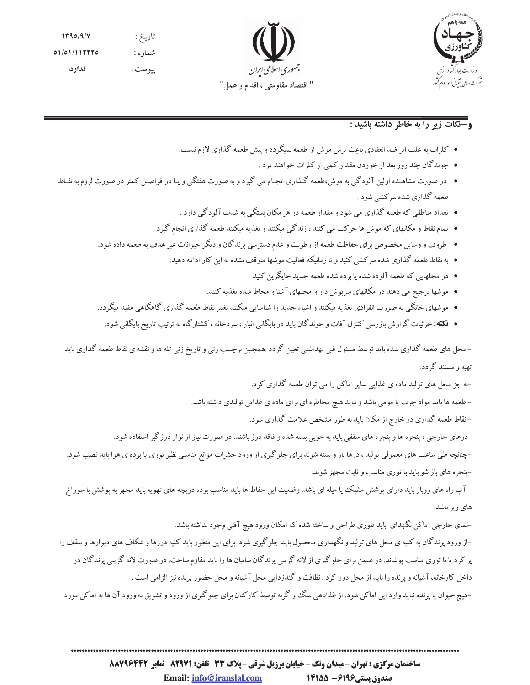



## **و-نكات زير را به خاطر داشته باشيد :**

- کلرات به علت اثر ضد انعقادی باعِث ترس موش از طعمه نمیگردد و پیش طعمه گذاری لازم نیست.
	- جوندگان چند روز بعد از خوردن مقدار کمی از کلرات خواهند مرد .
- در صورت مشاهـده اولین آلودگی به موش،طعمه گـذاری انجـام می گیرد و به صورت هفتگی و یـا در فواصـل کمتر در صورت لزوم به نقـاط طعمه گذاری شده سرکشی شود .
	- تعداد مناطقی که طعمه گذاری می شود و مقدار طعمه در هر مکان بستگی به شدت آلودگی دارد .
	- تمام نقاط و مکانهای که موش ها حرکت می کنند ، زندگی میکنند و تغذیه میکنند طعمه گذاری انجام گیرد .
	- ظروف و وسایل مخصوص برای حفاظت طعمه از رطوبت و عدم دسترسی پرندگان و دیگر حیوانات غیر هدف به طعمه داده شود.
		- به نقاط طعمه گذاری شده سرکشی کنید و تا زمانیکه فعالیت موشها متوقف نشده به این کار ادامه دهید.
			- در محلهایی که طعمه آلوده شده یا برده شده طعمه جدید جایگزین کنید.
			- موشها ترجیح می دهند در مکانهای سرپوش دار و محلهای آشنا و محاط شده تغذیه کنند.
	- موشهای خانگی به صورت انفرادی تغذیه میکنند و اشیاء جدید را شناسایی میکنند تغییر نقاط طعمه گذاری گاهگاهی مفید میگردد.
		- گلته: جزئیات گزارش بازرسی کنترل آفات و جوندگان باید در بایگانی انبار ، سردخانه ، کشتارگاه به ترتیب تاریخ بایگانی شود.

– محل های طعمه گذاری شده باید توسط مسئول فنی بهداشتی تعیین گردد .همچنین برچسب زنی و تاریخ زنی تله ها و نقشه ی نقاط طعمه گذاری باید تهیه و مستند گردد.

-به جز محل های تولید ماده ی غذایی سایر اماکن را می توان طعمه گذاری کرد.

– طعمه ها باید مواد چرب یا مومی باشد و نباید هیچ مخاطره ای برای ماده ی غذایی تولیدی داشته باشد.

–نقاط طعمه گذاری در خارج از مکان باید به طور مشخص علامت گذاری شود.

–درهای خارجی ، پنجره ها و پنجره های سقفی باید به خوبی بسته شده و فاقد درز باشند. در صورت نیاز از نوار درزگیر استفاده شود.

–چنانچه طی ساعت های معمولی تولید ، درها باز و بسته شوند برای جلوگیری از ورود حشرات موانع مناسبی نظیر توری یا پرده ی هوا باید نصب شود. –پنجره های باز شو باید با توری مناسب و ثابت مجهز شوند.

– آب راه های روباز باید دارای پوشش مشبک یا میله ای باشد. وضعیت این حفاظ ها باید مناسب بوده دریچه های تهویه باید مجهز به پوشش با سوراخ های ریز باشد.

-نمای خارجی اماکن نگهدای باید طوری طراحی و ساخته شده که امکان ورود هیچ آفتی وجود نداشته باشد. –از ورود پرندگان به کلیه ی محل های تولید و نگهداری محصول باید جلوگیری شود. برای این منظور باید کلیه درزها و شکاف های دیوارها و سقف را پر کرد یا با توری مناسب پوشاند. در ضمن برای جلوگیری از لانه گزینی پرندگان سایبان ها را باید مقاوم ساخت. در صورت لانه گزینی پرندگان در داخل کارخانه، آشیانه و پرنده را باید از محل دور کرد . نظافت و گندزدایی محل آشیانه و محل حضور پرنده نیز الزامی است .

-هیچ حیوان یا پرنده نباید وارد این اماکن شود. از غذادهی سگ و گربه توسط کارکنان برای جلوگیری از ورود و تشویق به ورود آن ها به اماکن مورد

ساختمان مرکزی : تهران -میدان ونک - خیابان برزیل شرقی - پلاک 33 تلفن: 829211 نمابر 8896678 Email: info@iranslal.com صندوق يستى1416 - 1415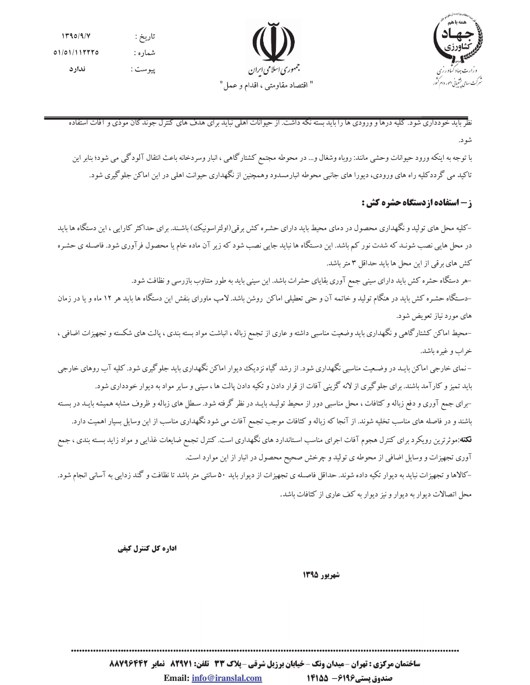



> نظر باید خو دداری شود. کلیه درها و ورودی ها را باید بسته نکه داشت. از حیوانات اهلی نباید برای هدف های کنترل جوند کان موذی و افات استفاده شو د.

با توجه به اینکه ورود حیوانات وحشی مانند: روباه وشغال و… در محوطه مجتمع کشتارگاهی ، انبار وسردخانه باعث انتقال آلودگی می شود؛ بنابر این تاکید می گرددکلیه راه های ورودی، دیورا های جانبی محوطه انبارمسدود وهمچنین از نگهداری حیوانت اهلی در این اماکن جلوگیری شود.

**ز - استفاده ازدستگاه حشره کش :** 

-کلیه محل های تولید و نگهداری محصول در دمای محیط باید دارای حشـره کش برقی(اولتراسونیک) باشـند. برای حداکثر کارایی ، این دستگاه ها باید در محل هایی نصب شونـد که شدت نور کم باشد. این دسـتگاه ها نباید جایی نصب شود که زیر آن ماده خام یا محصول فرآوري شود. فاصـله ي حشـره كش هاي برقي از اين محل ها بايد حداقل ٣ متر باشد.

–هر دستگاه حشره کش باید دارای سینی جمع آوری بقایای حشرات باشد. این سینی باید به طور متناوب بازرسی و نظافت شود.

–دستگاه حشـره کش باید در هنگام تولید و خاتمه آن و حتی تعطیلی اماکن روشن باشد. لامپ ماورای بنفش این دستگاه ها باید هر ۱۲ ماه و یا در زمان های مورد نیاز تعویض شود.

-محیط اماکن کشتارگاهی و نگهداری باید وضعیت مناسبی داشته و عاری از تجمع زباله ، انباشت مواد بسته بندی ، پالت های شکسته و تجهیزات اضافی ، خراب و غیره باشد.

–نمای خارجی اماکن بایـد در وضـعیت مناسبی نگهداری شود. از رشد گیاه نزدیک دیوار اماکن نگهداری باید جلوگیری شود. کلیه آب روهای خارجی باید تمیز و کارآمد باشند. برای جلوگیری از لانه گزینی آفات از قرار دادن و تکیه دادن پالت ها ، سینی و سایر مواد به دیوار خودداری شود. -برای جمع آوری و دفع زباله و کثافات ، محل مناسبی دور از محیط تولیـد بایـد در نظر گرفته شود. سـطل های زباله و ظروف مشابه همیشه بایـد در بسـته باشند و در فاصله های مناسب تخلیه شوند. از آنجا که زباله و کثافات موجب تجمع آفات می شود نگهداری مناسب از این وسایل بسیار اهمیت دارد. **نکته**:موثرترین رویکرد برای کنترل هجوم آفات اجرای مناسب استاندارد های نگهداری است. کنترل تجمع ضایعات غذایی و مواد زاید بسته بندی ، جمع آوری تجهیزات و وسایل اضافی از محوطه ی تولید و چرخش صحیح محصول در انبار از این موارد است. –کالاها و تجهیزات نباید به دیوار تکیه داده شوند. حداقل فاصـله ی تجهیزات از دیوار باید ۵۰ سانتی متر باشد تا نظافت و گند زدایی به آسانی انجام شود.

محل اتصالات دیوار به دیوار و نیز دیوار به کف عاری از کثافات باشد.

اداره کل کنترل کیفی

شهريور 1395

ساختمان مرکزی : تهران -میدان ونک - خیابان برزیل شرقی - پلاک 33 تلفن: 829211 نمایر 88266388 Email: info@iranslal.com صندوق پستی1496 - 14155